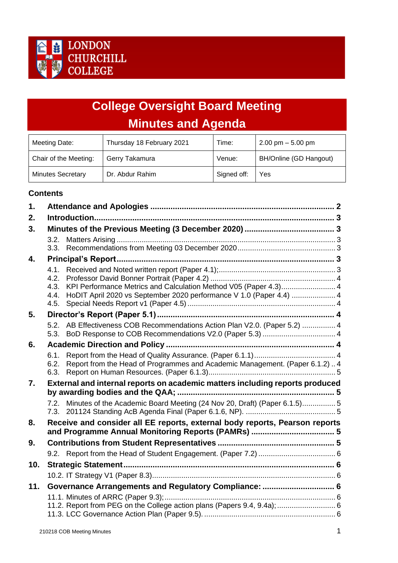

# **College Oversight Board Meeting Minutes and Agenda**

| Meeting Date:            | Thursday 18 February 2021 | Time:       | $2.00$ pm $-5.00$ pm   |
|--------------------------|---------------------------|-------------|------------------------|
| Chair of the Meeting:    | Gerry Takamura            | Venue:      | BH/Online (GD Hangout) |
| <b>Minutes Secretary</b> | Dr. Abdur Rahim           | Signed off: | Yes                    |

# **Contents**

| 1.  |              |                                                                                                                                         |  |  |
|-----|--------------|-----------------------------------------------------------------------------------------------------------------------------------------|--|--|
| 2.  |              |                                                                                                                                         |  |  |
| 3.  |              |                                                                                                                                         |  |  |
|     | 3.2.         |                                                                                                                                         |  |  |
|     | 3.3.         |                                                                                                                                         |  |  |
| 4.  |              |                                                                                                                                         |  |  |
|     | 4.1.         |                                                                                                                                         |  |  |
|     | 4.2.         |                                                                                                                                         |  |  |
|     | 4.3.<br>4.4. | KPI Performance Metrics and Calculation Method V05 (Paper 4.3) 4<br>HoDIT April 2020 vs September 2020 performance V 1.0 (Paper 4.4)  4 |  |  |
|     | 4.5.         |                                                                                                                                         |  |  |
| 5.  |              |                                                                                                                                         |  |  |
|     |              | 5.2. AB Effectiveness COB Recommendations Action Plan V2.0. (Paper 5.2)  4                                                              |  |  |
|     | 5.3.         |                                                                                                                                         |  |  |
| 6.  |              |                                                                                                                                         |  |  |
|     | 6.1.         |                                                                                                                                         |  |  |
|     | 6.2.<br>6.3. | Report from the Head of Programmes and Academic Management. (Paper 6.1.2) 4                                                             |  |  |
| 7.  |              | External and internal reports on academic matters including reports produced                                                            |  |  |
|     |              |                                                                                                                                         |  |  |
|     |              | 7.2. Minutes of the Academic Board Meeting (24 Nov 20, Draft) (Paper 6.1.5)5                                                            |  |  |
| 8.  |              | Receive and consider all EE reports, external body reports, Pearson reports                                                             |  |  |
|     |              |                                                                                                                                         |  |  |
| 9.  |              |                                                                                                                                         |  |  |
|     |              |                                                                                                                                         |  |  |
| 10. |              |                                                                                                                                         |  |  |
|     |              |                                                                                                                                         |  |  |
| 11. |              |                                                                                                                                         |  |  |
|     |              |                                                                                                                                         |  |  |
|     |              |                                                                                                                                         |  |  |
|     |              |                                                                                                                                         |  |  |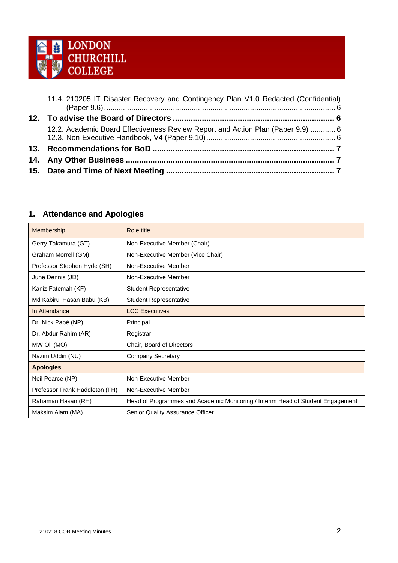

| 11.4. 210205 IT Disaster Recovery and Contingency Plan V1.0 Redacted (Confidential) |
|-------------------------------------------------------------------------------------|
|                                                                                     |
| 12.2. Academic Board Effectiveness Review Report and Action Plan (Paper 9.9)  6     |
|                                                                                     |
|                                                                                     |
|                                                                                     |

# <span id="page-1-0"></span>**1. Attendance and Apologies**

| Membership                     | Role title                                                                      |
|--------------------------------|---------------------------------------------------------------------------------|
| Gerry Takamura (GT)            | Non-Executive Member (Chair)                                                    |
| Graham Morrell (GM)            | Non-Executive Member (Vice Chair)                                               |
| Professor Stephen Hyde (SH)    | Non-Executive Member                                                            |
| June Dennis (JD)               | Non-Executive Member                                                            |
| Kaniz Fatemah (KF)             | <b>Student Representative</b>                                                   |
| Md Kabirul Hasan Babu (KB)     | <b>Student Representative</b>                                                   |
| In Attendance                  | <b>LCC Executives</b>                                                           |
| Dr. Nick Papé (NP)             | Principal                                                                       |
| Dr. Abdur Rahim (AR)           | Registrar                                                                       |
| MW Oli (MO)                    | Chair, Board of Directors                                                       |
| Nazim Uddin (NU)               | Company Secretary                                                               |
| <b>Apologies</b>               |                                                                                 |
| Neil Pearce (NP)               | Non-Executive Member                                                            |
| Professor Frank Haddleton (FH) | Non-Executive Member                                                            |
| Rahaman Hasan (RH)             | Head of Programmes and Academic Monitoring / Interim Head of Student Engagement |
| Maksim Alam (MA)               | Senior Quality Assurance Officer                                                |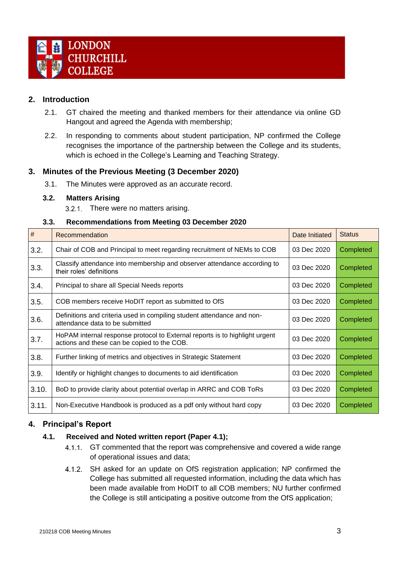

# <span id="page-2-0"></span>**2. Introduction**

- 2.1. GT chaired the meeting and thanked members for their attendance via online GD Hangout and agreed the Agenda with membership;
- 2.2. In responding to comments about student participation, NP confirmed the College recognises the importance of the partnership between the College and its students, which is echoed in the College's Learning and Teaching Strategy.

# <span id="page-2-1"></span>**3. Minutes of the Previous Meeting (3 December 2020)**

3.1. The Minutes were approved as an accurate record.

### <span id="page-2-2"></span>**3.2. Matters Arising**

3.2.1. There were no matters arising.

### **3.3. Recommendations from Meeting 03 December 2020**

<span id="page-2-3"></span>

| $\#$  | Recommendation                                                                                                             | Date Initiated | <b>Status</b> |
|-------|----------------------------------------------------------------------------------------------------------------------------|----------------|---------------|
| 3.2.  | Chair of COB and Principal to meet regarding recruitment of NEMs to COB                                                    | 03 Dec 2020    | Completed     |
| 3.3.  | Classify attendance into membership and observer attendance according to<br>their roles' definitions                       | 03 Dec 2020    | Completed     |
| 3.4.  | Principal to share all Special Needs reports                                                                               | 03 Dec 2020    | Completed     |
| 3.5.  | COB members receive HoDIT report as submitted to OfS                                                                       | 03 Dec 2020    | Completed     |
| 3.6.  | Definitions and criteria used in compiling student attendance and non-<br>attendance data to be submitted                  | 03 Dec 2020    | Completed     |
| 3.7.  | HoPAM internal response protocol to External reports is to highlight urgent<br>actions and these can be copied to the COB. | 03 Dec 2020    | Completed     |
| 3.8.  | Further linking of metrics and objectives in Strategic Statement                                                           | 03 Dec 2020    | Completed     |
| 3.9.  | Identify or highlight changes to documents to aid identification                                                           | 03 Dec 2020    | Completed     |
| 3.10. | BoD to provide clarity about potential overlap in ARRC and COB ToRs                                                        | 03 Dec 2020    | Completed     |
| 3.11. | Non-Executive Handbook is produced as a pdf only without hard copy                                                         | 03 Dec 2020    | Completed     |

# <span id="page-2-5"></span><span id="page-2-4"></span>**4. Principal's Report**

# **4.1. Received and Noted written report (Paper 4.1);**

- 4.1.1. GT commented that the report was comprehensive and covered a wide range of operational issues and data;
- 4.1.2. SH asked for an update on OfS registration application; NP confirmed the College has submitted all requested information, including the data which has been made available from HoDIT to all COB members; NU further confirmed the College is still anticipating a positive outcome from the OfS application;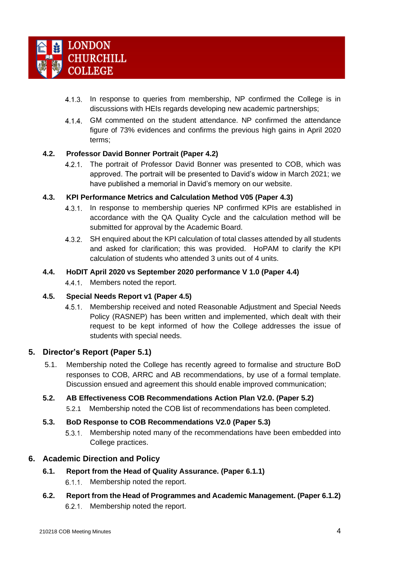

- 4.1.3. In response to queries from membership, NP confirmed the College is in discussions with HEIs regards developing new academic partnerships;
- $4.1.4$ GM commented on the student attendance. NP confirmed the attendance figure of 73% evidences and confirms the previous high gains in April 2020 terms;

### <span id="page-3-0"></span>**4.2. Professor David Bonner Portrait (Paper 4.2)**

The portrait of Professor David Bonner was presented to COB, which was  $4.2.1.$ approved. The portrait will be presented to David's widow in March 2021; we have published a memorial in David's memory on our website.

### <span id="page-3-1"></span>**4.3. KPI Performance Metrics and Calculation Method V05 (Paper 4.3)**

- In response to membership queries NP confirmed KPIs are established in  $4.3.1.$ accordance with the QA Quality Cycle and the calculation method will be submitted for approval by the Academic Board.
- SH enquired about the KPI calculation of total classes attended by all students  $4.3.2.$ and asked for clarification; this was provided. HoPAM to clarify the KPI calculation of students who attended 3 units out of 4 units.

#### <span id="page-3-2"></span>**4.4. HoDIT April 2020 vs September 2020 performance V 1.0 (Paper 4.4)**

4.4.1. Members noted the report.

#### <span id="page-3-3"></span>**4.5. Special Needs Report v1 (Paper 4.5)**

 $4.5.1.$ Membership received and noted Reasonable Adjustment and Special Needs Policy (RASNEP) has been written and implemented, which dealt with their request to be kept informed of how the College addresses the issue of students with special needs.

# <span id="page-3-4"></span>**5. Director's Report (Paper 5.1)**

5.1. Membership noted the College has recently agreed to formalise and structure BoD responses to COB, ARRC and AB recommendations, by use of a formal template. Discussion ensued and agreement this should enable improved communication;

#### <span id="page-3-5"></span>**5.2. AB Effectiveness COB Recommendations Action Plan V2.0. (Paper 5.2)**

5.2.1 Membership noted the COB list of recommendations has been completed.

#### <span id="page-3-6"></span>**5.3. BoD Response to COB Recommendations V2.0 (Paper 5.3)**

 $5.3.1.$ Membership noted many of the recommendations have been embedded into College practices.

# <span id="page-3-8"></span><span id="page-3-7"></span>**6. Academic Direction and Policy**

- **6.1. Report from the Head of Quality Assurance. (Paper 6.1.1)**
	- 6.1.1. Membership noted the report.
- <span id="page-3-9"></span>**6.2. Report from the Head of Programmes and Academic Management. (Paper 6.1.2)** 6.2.1. Membership noted the report.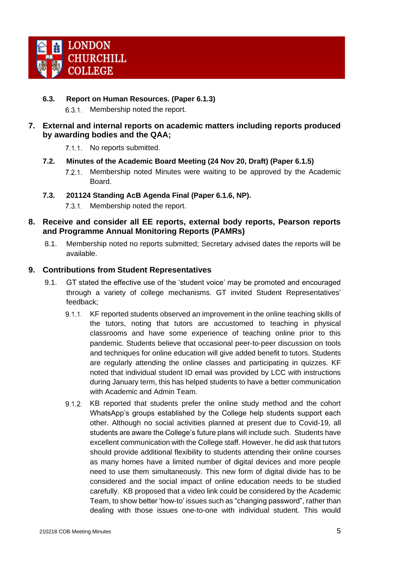

### <span id="page-4-0"></span>**6.3. Report on Human Resources. (Paper 6.1.3)** 6.3.1. Membership noted the report.

- <span id="page-4-2"></span><span id="page-4-1"></span>**7. External and internal reports on academic matters including reports produced by awarding bodies and the QAA;**
	- 7.1.1 No reports submitted.
	- **7.2. Minutes of the Academic Board Meeting (24 Nov 20, Draft) (Paper 6.1.5)**
		- Membership noted Minutes were waiting to be approved by the Academic  $7.2.1$ Board.
	- **7.3. 201124 Standing AcB Agenda Final (Paper 6.1.6, NP).**
		- $7.3.1.$ Membership noted the report.
- <span id="page-4-4"></span><span id="page-4-3"></span>**8. Receive and consider all EE reports, external body reports, Pearson reports and Programme Annual Monitoring Reports (PAMRs)**
	- 8.1. Membership noted no reports submitted; Secretary advised dates the reports will be available.

# <span id="page-4-5"></span>**9. Contributions from Student Representatives**

- 9.1. GT stated the effective use of the 'student voice' may be promoted and encouraged through a variety of college mechanisms. GT invited Student Representatives' feedback;
	- 9.1.1. KF reported students observed an improvement in the online teaching skills of the tutors, noting that tutors are accustomed to teaching in physical classrooms and have some experience of teaching online prior to this pandemic. Students believe that occasional peer‐to‐peer discussion on tools and techniques for online education will give added benefit to tutors. Students are regularly attending the online classes and participating in quizzes. KF noted that individual student ID email was provided by LCC with instructions during January term, this has helped students to have a better communication with Academic and Admin Team.
	- 9.1.2. KB reported that students prefer the online study method and the cohort WhatsApp's groups established by the College help students support each other. Although no social activities planned at present due to Covid-19, all students are aware the College's future plans will include such. Students have excellent communication with the College staff. However, he did ask that tutors should provide additional flexibility to students attending their online courses as many homes have a limited number of digital devices and more people need to use them simultaneously. This new form of digital divide has to be considered and the social impact of online education needs to be studied carefully. KB proposed that a video link could be considered by the Academic Team, to show better 'how-to' issues such as "changing password", rather than dealing with those issues one-to-one with individual student. This would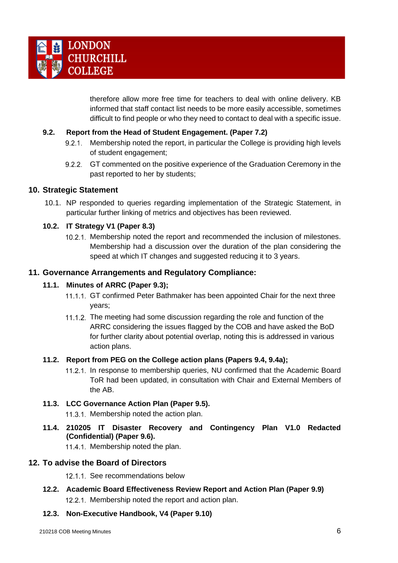

therefore allow more free time for teachers to deal with online delivery. KB informed that staff contact list needs to be more easily accessible, sometimes difficult to find people or who they need to contact to deal with a specific issue.

### <span id="page-5-0"></span>**9.2. Report from the Head of Student Engagement. (Paper 7.2)**

- 9.2.1. Membership noted the report, in particular the College is providing high levels of student engagement;
- 9.2.2. GT commented on the positive experience of the Graduation Ceremony in the past reported to her by students;

### <span id="page-5-1"></span>**10. Strategic Statement**

10.1. NP responded to queries regarding implementation of the Strategic Statement, in particular further linking of metrics and objectives has been reviewed.

#### <span id="page-5-2"></span>**10.2. IT Strategy V1 (Paper 8.3)**

10.2.1. Membership noted the report and recommended the inclusion of milestones. Membership had a discussion over the duration of the plan considering the speed at which IT changes and suggested reducing it to 3 years.

### <span id="page-5-4"></span><span id="page-5-3"></span>**11. Governance Arrangements and Regulatory Compliance:**

#### **11.1. Minutes of ARRC (Paper 9.3);**

- 11.1.1. GT confirmed Peter Bathmaker has been appointed Chair for the next three years;
- 11.1.2. The meeting had some discussion regarding the role and function of the ARRC considering the issues flagged by the COB and have asked the BoD for further clarity about potential overlap, noting this is addressed in various action plans.

#### <span id="page-5-5"></span>**11.2. Report from PEG on the College action plans (Papers 9.4, 9.4a);**

11.2.1. In response to membership queries, NU confirmed that the Academic Board ToR had been updated, in consultation with Chair and External Members of the AB.

#### <span id="page-5-6"></span>**11.3. LCC Governance Action Plan (Paper 9.5).**

11.3.1. Membership noted the action plan.

<span id="page-5-7"></span>**11.4. 210205 IT Disaster Recovery and Contingency Plan V1.0 Redacted (Confidential) (Paper 9.6).**

11.4.1. Membership noted the plan.

#### <span id="page-5-8"></span>**12. To advise the Board of Directors**

12.1.1. See recommendations below

<span id="page-5-9"></span>**12.2. Academic Board Effectiveness Review Report and Action Plan (Paper 9.9)**  12.2.1. Membership noted the report and action plan.

#### <span id="page-5-10"></span>**12.3. Non-Executive Handbook, V4 (Paper 9.10)**